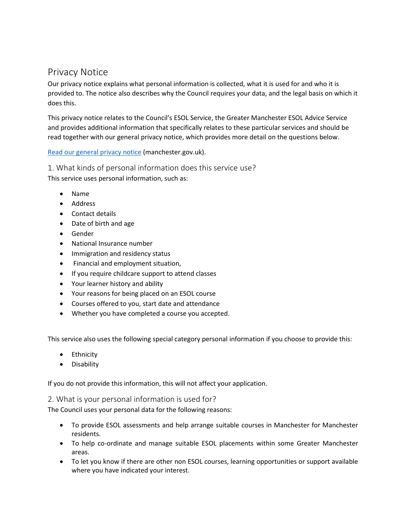# Privacy Notice

Our privacy notice explains what personal information is collected, what it is used for and who it is provided to. The notice also describes why the Council requires your data, and the legal basis on which it does this.

This privacy notice relates to the Council's ESOL Service, the Greater Manchester ESOL Advice Service and provides additional information that specifically relates to these particular services and should be read together with our general privacy notice, which provides more detail on the questions below.

### [Read our general privacy notice](https://secure.manchester.gov.uk/info/200031/data_protection_and_freedom_of_information/7659/corporate_privacy_notice) (manchester.gov.uk).

1. What kinds of personal information does this service use? This service uses personal information, such as:

- Name
- Address
- Contact details
- Date of birth and age
- Gender
- National Insurance number
- Immigration and residency status
- Financial and employment situation,
- If you require childcare support to attend classes
- Your learner history and ability
- Your reasons for being placed on an ESOL course
- Courses offered to you, start date and attendance
- Whether you have completed a course you accepted.

This service also uses the following special category personal information if you choose to provide this:

- Ethnicity
- Disability

If you do not provide this information, this will not affect your application.

### 2. What is your personal information is used for?

The Council uses your personal data for the following reasons:

- To provide ESOL assessments and help arrange suitable courses in Manchester for Manchester residents.
- To help co-ordinate and manage suitable ESOL placements within some Greater Manchester areas.
- To let you know if there are other non ESOL courses, learning opportunities or support available where you have indicated your interest.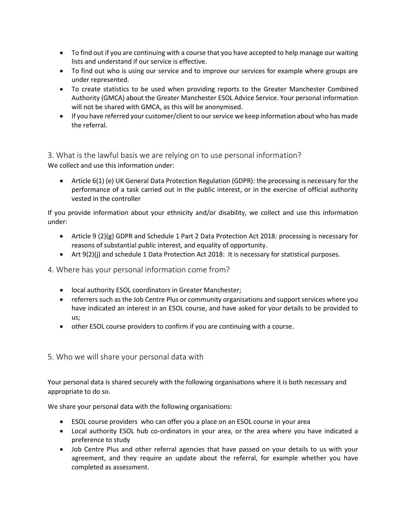- To find out if you are continuing with a course that you have accepted to help manage our waiting lists and understand if our service is effective.
- To find out who is using our service and to improve our services for example where groups are under represented.
- To create statistics to be used when providing reports to the Greater Manchester Combined Authority (GMCA) about the Greater Manchester ESOL Advice Service. Your personal information will not be shared with GMCA, as this will be anonymised.
- If you have referred your customer/client to our service we keep information about who has made the referral.

3. What is the lawful basis we are relying on to use personal information? We collect and use this information under:

• Article 6(1) (e) UK General Data Protection Regulation (GDPR): the processing is necessary for the performance of a task carried out in the public interest, or in the exercise of official authority vested in the controller

If you provide information about your ethnicity and/or disability, we collect and use this information under:

- Article 9 (2)(g) GDPR and Schedule 1 Part 2 Data Protection Act 2018: processing is necessary for reasons of substantial public interest, and equality of opportunity.
- Art 9(2)(j) and schedule 1 Data Protection Act 2018: It is necessary for statistical purposes.

4. Where has your personal information come from?

- local authority ESOL coordinators in Greater Manchester;
- referrers such as the Job Centre Plus or community organisations and support services where you have indicated an interest in an ESOL course, and have asked for your details to be provided to us;
- other ESOL course providers to confirm if you are continuing with a course.
- 5. Who we will share your personal data with

Your personal data is shared securely with the following organisations where it is both necessary and appropriate to do so.

We share your personal data with the following organisations:

- ESOL course providers who can offer you a place on an ESOL course in your area
- Local authority ESOL hub co-ordinators in your area, or the area where you have indicated a preference to study
- Job Centre Plus and other referral agencies that have passed on your details to us with your agreement, and they require an update about the referral, for example whether you have completed as assessment.